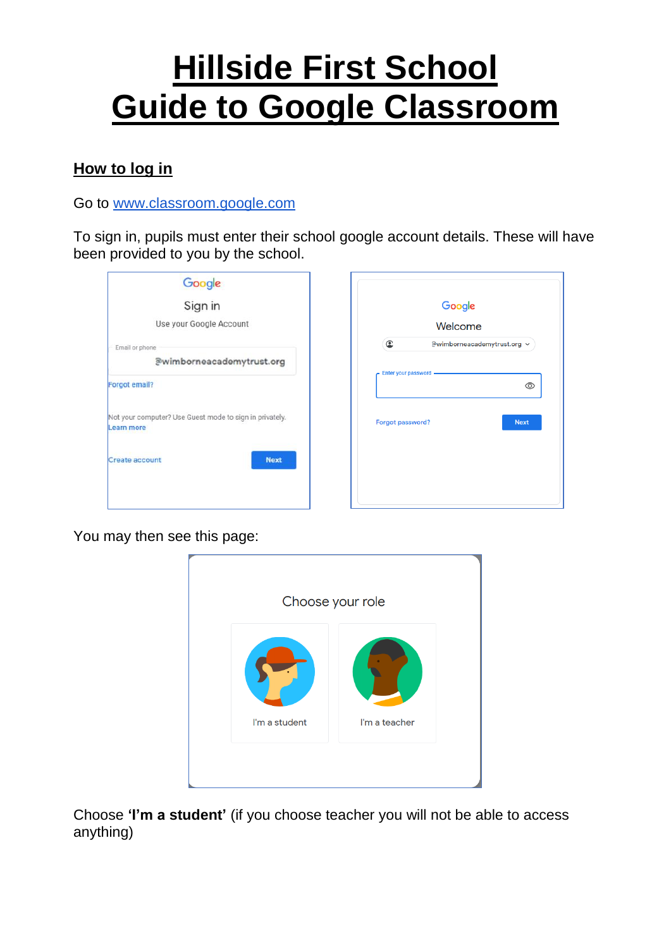# **Hillside First School Guide to Google Classroom**

## **How to log in**

Go to [www.classroom.google.com](http://www.classroom.google.com/)

To sign in, pupils must enter their school google account details. These will have been provided to you by the school.

| Google                                                                |                                          |  |  |
|-----------------------------------------------------------------------|------------------------------------------|--|--|
| Sign in                                                               | Google                                   |  |  |
| Use your Google Account                                               | Welcome                                  |  |  |
| Email or phone                                                        | $\bullet$<br>@wimborneacademytrust.org v |  |  |
| @wimborneacademytrust.org                                             |                                          |  |  |
| <b>Forgot email?</b>                                                  | Enter your password<br>⊚                 |  |  |
| Not your computer? Use Guest mode to sign in privately.<br>Learn more | Forgot password?<br><b>Next</b>          |  |  |
| <b>Next</b><br>Create account                                         |                                          |  |  |
|                                                                       |                                          |  |  |
|                                                                       |                                          |  |  |

You may then see this page:



Choose **'I'm a student'** (if you choose teacher you will not be able to access anything)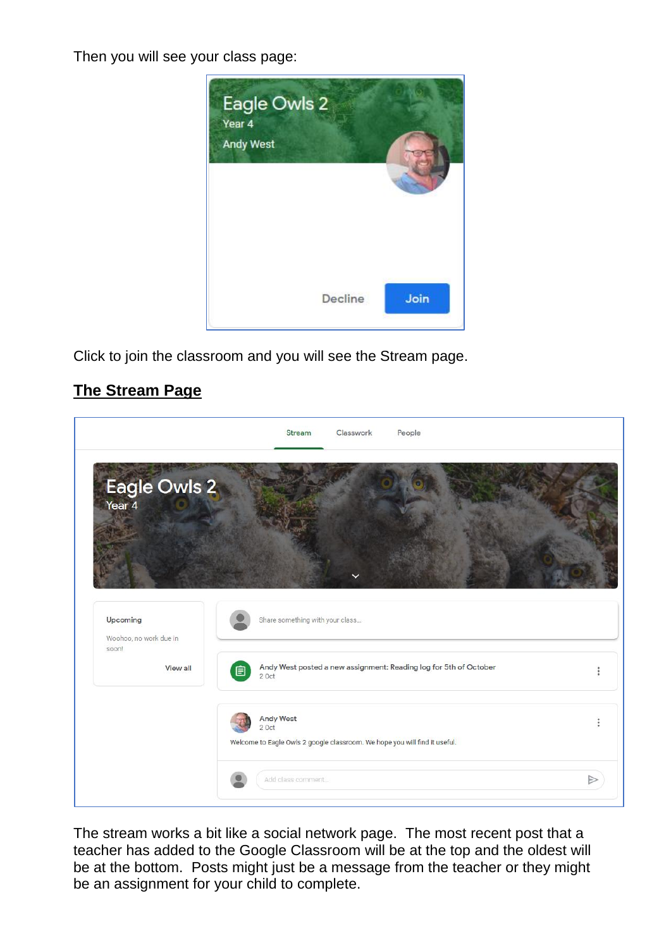Then you will see your class page:



Click to join the classroom and you will see the Stream page.

# **The Stream Page**



The stream works a bit like a social network page. The most recent post that a teacher has added to the Google Classroom will be at the top and the oldest will be at the bottom. Posts might just be a message from the teacher or they might be an assignment for your child to complete.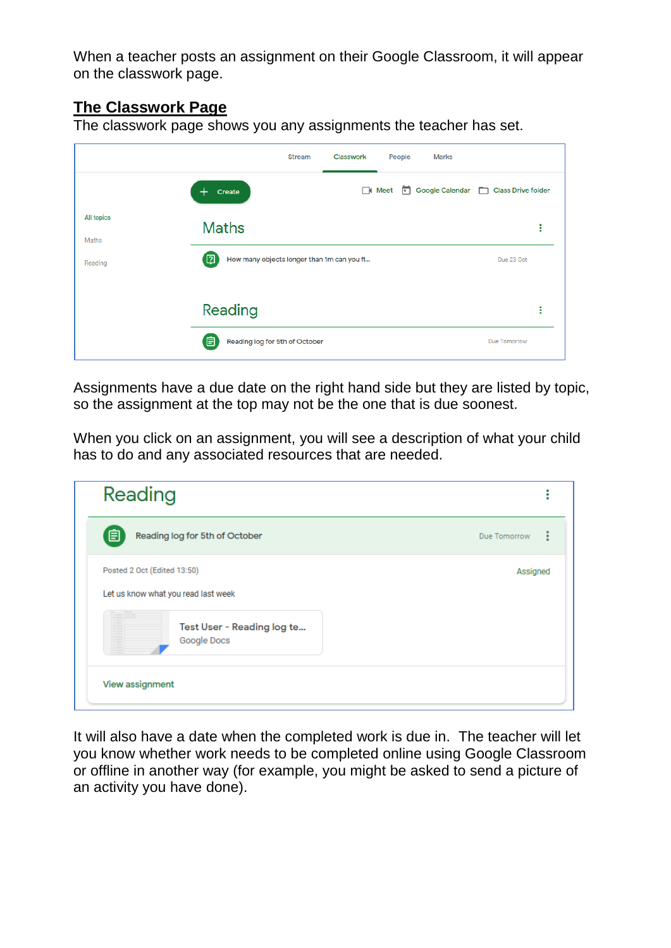When a teacher posts an assignment on their Google Classroom, it will appear on the classwork page.

## **The Classwork Page**

The classwork page shows you any assignments the teacher has set.

|                   | <b>Stream</b>                                      | Classwork | People      | <b>Marks</b>                         |              |   |
|-------------------|----------------------------------------------------|-----------|-------------|--------------------------------------|--------------|---|
|                   | Create                                             |           | $\Box$ Meet | Google Calendar   Class Drive folder |              |   |
| <b>All topics</b> | <b>Maths</b>                                       |           |             |                                      |              | ŧ |
| Maths<br>Reading  | [ෆු]<br>How many objects longer than 1m can you fi |           |             | Due 23 Oct                           |              |   |
|                   | Reading                                            |           |             |                                      |              | ÷ |
|                   | 自<br>Reading log for 5th of October                |           |             |                                      | Due Tomorrow |   |

Assignments have a due date on the right hand side but they are listed by topic, so the assignment at the top may not be the one that is due soonest.

When you click on an assignment, you will see a description of what your child has to do and any associated resources that are needed.

| Reading                                                            |              |
|--------------------------------------------------------------------|--------------|
| 圁<br>Reading log for 5th of October                                | Due Tomorrow |
| Posted 2 Oct (Edited 13:50)<br>Let us know what you read last week | Assigned     |
| Test User - Reading log te<br>ē<br>Google Docs<br>æ                |              |
| View assignment                                                    |              |

It will also have a date when the completed work is due in. The teacher will let you know whether work needs to be completed online using Google Classroom or offline in another way (for example, you might be asked to send a picture of an activity you have done).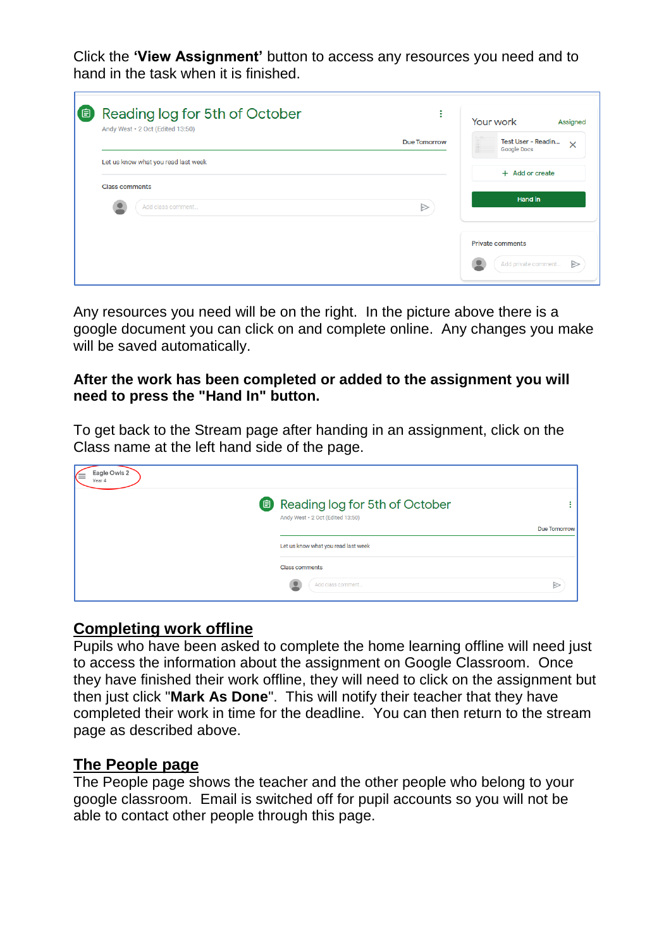Click the **'View Assignment'** button to access any resources you need and to hand in the task when it is finished.

| 〔自 | Reading log for 5th of October<br>٠<br>٠<br>Andy West · 2 Oct (Edited 13:50) | Your work<br><b>Assigned</b>                         |  |  |
|----|------------------------------------------------------------------------------|------------------------------------------------------|--|--|
|    | <b>Due Tomorrow</b>                                                          | Test User - Readin<br>$\times$<br><b>Google Docs</b> |  |  |
|    | Let us know what you read last week                                          | + Add or create                                      |  |  |
|    | <b>Class comments</b><br>$\triangleright$<br>Add class comment               | Hand in                                              |  |  |
|    |                                                                              | <b>Private comments</b><br>Add private comment<br>▷  |  |  |

Any resources you need will be on the right. In the picture above there is a google document you can click on and complete online. Any changes you make will be saved automatically.

#### **After the work has been completed or added to the assignment you will need to press the "Hand In" button.**

To get back to the Stream page after handing in an assignment, click on the Class name at the left hand side of the page.

| Eagle Owls 2<br>⋐<br>Year 4 |                                                                    |                     |
|-----------------------------|--------------------------------------------------------------------|---------------------|
|                             | Reading log for 5th of October<br>Andy West · 2 Oct (Edited 13:50) |                     |
|                             |                                                                    | <b>Due Tomorrow</b> |
|                             | Let us know what you read last week                                |                     |
|                             | <b>Class comments</b>                                              |                     |
|                             | Add class comment                                                  |                     |

#### **Completing work offline**

Pupils who have been asked to complete the home learning offline will need just to access the information about the assignment on Google Classroom. Once they have finished their work offline, they will need to click on the assignment but then just click "**Mark As Done**". This will notify their teacher that they have completed their work in time for the deadline. You can then return to the stream page as described above.

#### **The People page**

The People page shows the teacher and the other people who belong to your google classroom. Email is switched off for pupil accounts so you will not be able to contact other people through this page.